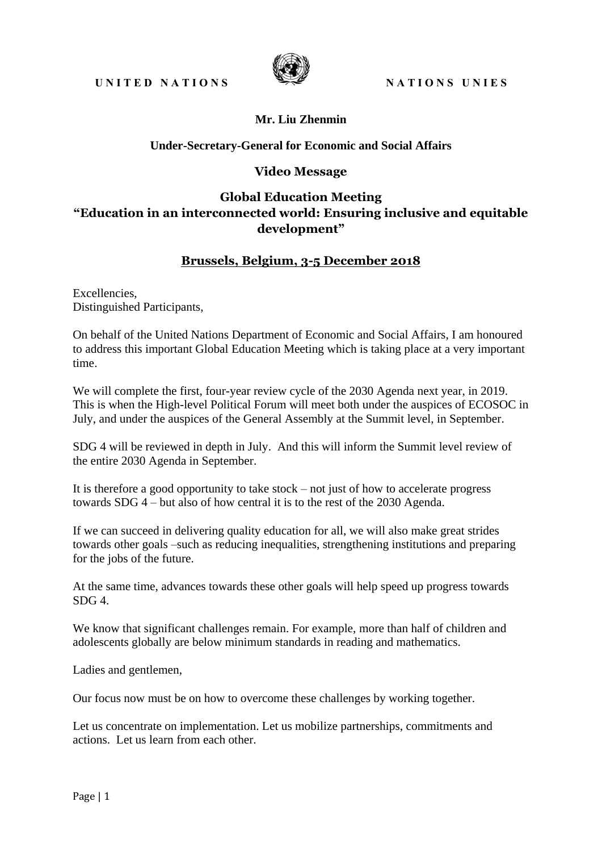

### **Mr. Liu Zhenmin**

#### **Under-Secretary-General for Economic and Social Affairs**

#### **Video Message**

# **Global Education Meeting "Education in an interconnected world: Ensuring inclusive and equitable development"**

## **Brussels, Belgium, 3-5 December 2018**

Excellencies, Distinguished Participants,

On behalf of the United Nations Department of Economic and Social Affairs, I am honoured to address this important Global Education Meeting which is taking place at a very important time.

We will complete the first, four-year review cycle of the 2030 Agenda next year, in 2019. This is when the High-level Political Forum will meet both under the auspices of ECOSOC in July, and under the auspices of the General Assembly at the Summit level, in September.

SDG 4 will be reviewed in depth in July. And this will inform the Summit level review of the entire 2030 Agenda in September.

It is therefore a good opportunity to take stock – not just of how to accelerate progress towards SDG 4 – but also of how central it is to the rest of the 2030 Agenda.

If we can succeed in delivering quality education for all, we will also make great strides towards other goals –such as reducing inequalities, strengthening institutions and preparing for the jobs of the future.

At the same time, advances towards these other goals will help speed up progress towards SDG 4.

We know that significant challenges remain. For example, more than half of children and adolescents globally are below minimum standards in reading and mathematics.

Ladies and gentlemen,

Our focus now must be on how to overcome these challenges by working together.

Let us concentrate on implementation. Let us mobilize partnerships, commitments and actions. Let us learn from each other.